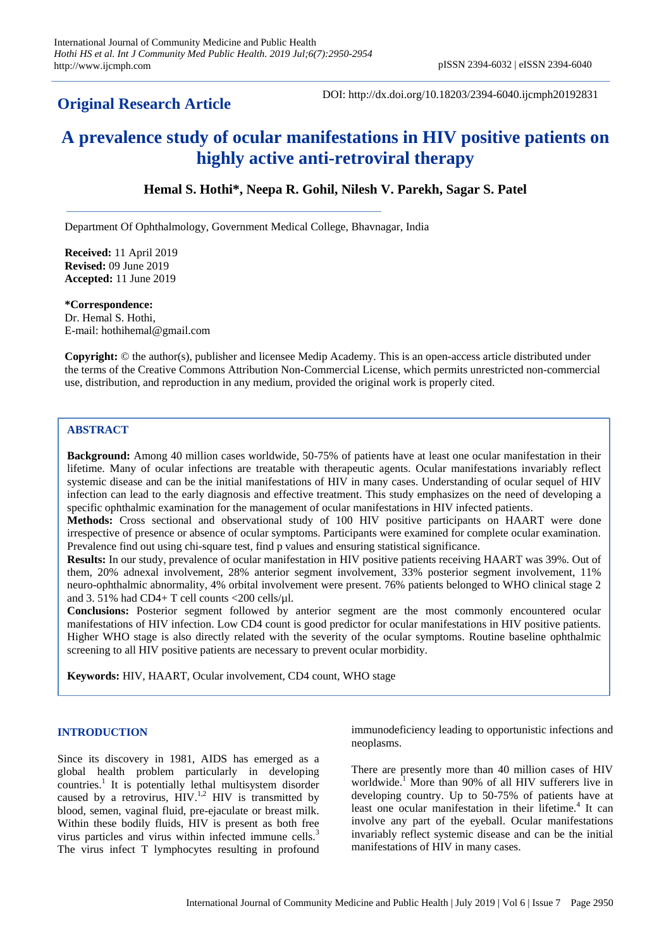## **Original Research Article**

DOI: http://dx.doi.org/10.18203/2394-6040.ijcmph20192831

# **A prevalence study of ocular manifestations in HIV positive patients on highly active anti-retroviral therapy**

## **Hemal S. Hothi\*, Neepa R. Gohil, Nilesh V. Parekh, Sagar S. Patel**

Department Of Ophthalmology, Government Medical College, Bhavnagar, India

**Received:** 11 April 2019 **Revised:** 09 June 2019 **Accepted:** 11 June 2019

**\*Correspondence:** Dr. Hemal S. Hothi, E-mail: hothihemal@gmail.com

**Copyright:** © the author(s), publisher and licensee Medip Academy. This is an open-access article distributed under the terms of the Creative Commons Attribution Non-Commercial License, which permits unrestricted non-commercial use, distribution, and reproduction in any medium, provided the original work is properly cited.

## **ABSTRACT**

**Background:** Among 40 million cases worldwide, 50-75% of patients have at least one ocular manifestation in their lifetime. Many of ocular infections are treatable with therapeutic agents. Ocular manifestations invariably reflect systemic disease and can be the initial manifestations of HIV in many cases. Understanding of ocular sequel of HIV infection can lead to the early diagnosis and effective treatment. This study emphasizes on the need of developing a specific ophthalmic examination for the management of ocular manifestations in HIV infected patients.

**Methods:** Cross sectional and observational study of 100 HIV positive participants on HAART were done irrespective of presence or absence of ocular symptoms. Participants were examined for complete ocular examination. Prevalence find out using chi-square test, find p values and ensuring statistical significance.

**Results:** In our study, prevalence of ocular manifestation in HIV positive patients receiving HAART was 39%. Out of them, 20% adnexal involvement, 28% anterior segment involvement, 33% posterior segment involvement, 11% neuro-ophthalmic abnormality, 4% orbital involvement were present. 76% patients belonged to WHO clinical stage 2 and 3.51% had CD4+ T cell counts <200 cells/ $\mu$ l.

**Conclusions:** Posterior segment followed by anterior segment are the most commonly encountered ocular manifestations of HIV infection. Low CD4 count is good predictor for ocular manifestations in HIV positive patients. Higher WHO stage is also directly related with the severity of the ocular symptoms. Routine baseline ophthalmic screening to all HIV positive patients are necessary to prevent ocular morbidity.

**Keywords:** HIV, HAART, Ocular involvement, CD4 count, WHO stage

#### **INTRODUCTION**

Since its discovery in 1981, AIDS has emerged as a global health problem particularly in developing countries.<sup>1</sup> It is potentially lethal multisystem disorder caused by a retrovirus,  $HIV^{1,2}$  HIV is transmitted by blood, semen, vaginal fluid, pre-ejaculate or breast milk. Within these bodily fluids, HIV is present as both free virus particles and virus within infected immune cells.<sup>3</sup> The virus infect T lymphocytes resulting in profound immunodeficiency leading to opportunistic infections and neoplasms.

There are presently more than 40 million cases of HIV worldwide.<sup>1</sup> More than 90% of all HIV sufferers live in developing country. Up to 50-75% of patients have at least one ocular manifestation in their lifetime.<sup>4</sup> It can involve any part of the eyeball. Ocular manifestations invariably reflect systemic disease and can be the initial manifestations of HIV in many cases.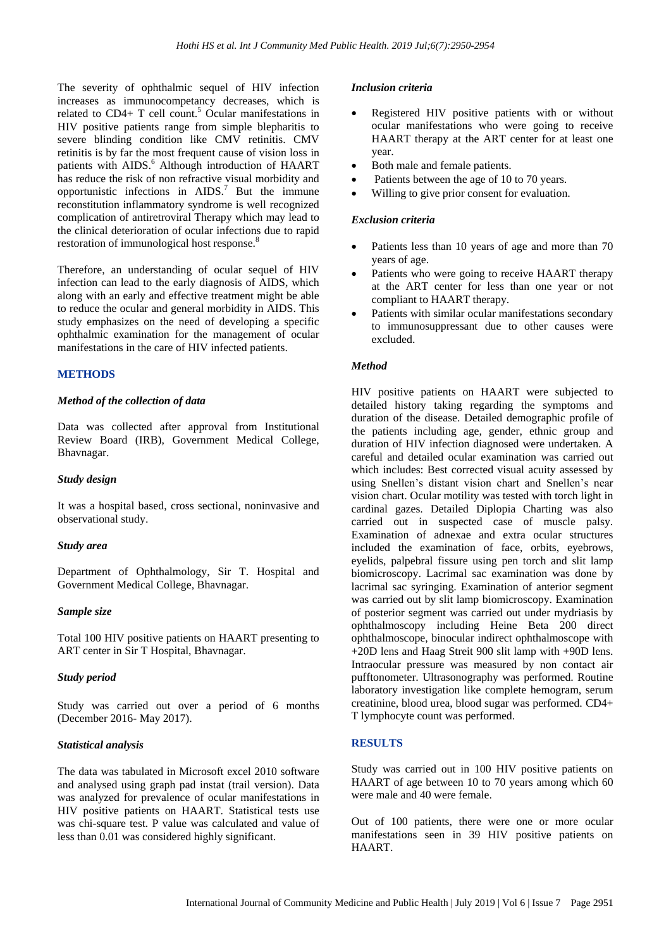The severity of ophthalmic sequel of HIV infection increases as immunocompetancy decreases, which is related to  $CD4+T$  cell count.<sup>5</sup> Ocular manifestations in HIV positive patients range from simple blepharitis to severe blinding condition like CMV retinitis. CMV retinitis is by far the most frequent cause of vision loss in patients with AIDS.<sup>6</sup> Although introduction of HAART has reduce the risk of non refractive visual morbidity and opportunistic infections in  $AIDS$ .<sup>7</sup> But the immune reconstitution inflammatory syndrome is well recognized complication of antiretroviral Therapy which may lead to the clinical deterioration of ocular infections due to rapid restoration of immunological host response.<sup>8</sup>

Therefore, an understanding of ocular sequel of HIV infection can lead to the early diagnosis of AIDS, which along with an early and effective treatment might be able to reduce the ocular and general morbidity in AIDS. This study emphasizes on the need of developing a specific ophthalmic examination for the management of ocular manifestations in the care of HIV infected patients.

#### **METHODS**

#### *Method of the collection of data*

Data was collected after approval from Institutional Review Board (IRB), Government Medical College, Bhavnagar.

#### *Study design*

It was a hospital based, cross sectional, noninvasive and observational study.

#### *Study area*

Department of Ophthalmology, Sir T. Hospital and Government Medical College, Bhavnagar.

#### *Sample size*

Total 100 HIV positive patients on HAART presenting to ART center in Sir T Hospital, Bhavnagar.

#### *Study period*

Study was carried out over a period of 6 months (December 2016- May 2017).

#### *Statistical analysis*

The data was tabulated in Microsoft excel 2010 software and analysed using graph pad instat (trail version). Data was analyzed for prevalence of ocular manifestations in HIV positive patients on HAART. Statistical tests use was chi-square test. P value was calculated and value of less than 0.01 was considered highly significant.

#### *Inclusion criteria*

- Registered HIV positive patients with or without ocular manifestations who were going to receive HAART therapy at the ART center for at least one year.
- Both male and female patients.
- Patients between the age of 10 to 70 years.
- Willing to give prior consent for evaluation.

#### *Exclusion criteria*

- Patients less than 10 years of age and more than 70 years of age.
- Patients who were going to receive HAART therapy at the ART center for less than one year or not compliant to HAART therapy.
- Patients with similar ocular manifestations secondary to immunosuppressant due to other causes were excluded.

#### *Method*

HIV positive patients on HAART were subjected to detailed history taking regarding the symptoms and duration of the disease. Detailed demographic profile of the patients including age, gender, ethnic group and duration of HIV infection diagnosed were undertaken. A careful and detailed ocular examination was carried out which includes: Best corrected visual acuity assessed by using Snellen's distant vision chart and Snellen's near vision chart. Ocular motility was tested with torch light in cardinal gazes. Detailed Diplopia Charting was also carried out in suspected case of muscle palsy. Examination of adnexae and extra ocular structures included the examination of face, orbits, eyebrows, eyelids, palpebral fissure using pen torch and slit lamp biomicroscopy. Lacrimal sac examination was done by lacrimal sac syringing. Examination of anterior segment was carried out by slit lamp biomicroscopy. Examination of posterior segment was carried out under mydriasis by ophthalmoscopy including Heine Beta 200 direct ophthalmoscope, binocular indirect ophthalmoscope with +20D lens and Haag Streit 900 slit lamp with +90D lens. Intraocular pressure was measured by non contact air pufftonometer. Ultrasonography was performed. Routine laboratory investigation like complete hemogram, serum creatinine, blood urea, blood sugar was performed. CD4+ T lymphocyte count was performed.

#### **RESULTS**

Study was carried out in 100 HIV positive patients on HAART of age between 10 to 70 years among which 60 were male and 40 were female.

Out of 100 patients, there were one or more ocular manifestations seen in 39 HIV positive patients on HAART.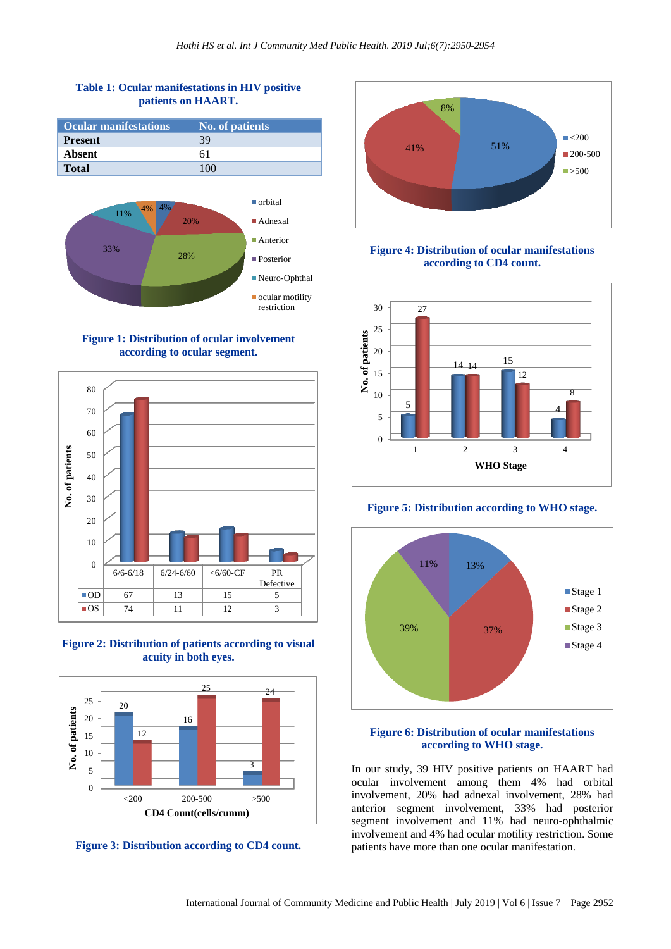## **Table 1: Ocular manifestations in HIV positive patients on HAART.**

| <b>Ocular manifestations</b> | No. of patients |
|------------------------------|-----------------|
| <b>Present</b>               | 39              |
| Absent                       |                 |
| <b>Total</b>                 |                 |



**Figure 1: Distribution of ocular involvement according to ocular segment.**







**Figure 3: Distribution according to CD4 count.**



**Figure 4: Distribution of ocular manifestations according to CD4 count.**



**Figure 5: Distribution according to WHO stage.**



#### **Figure 6: Distribution of ocular manifestations according to WHO stage.**

In our study, 39 HIV positive patients on HAART had ocular involvement among them 4% had orbital involvement, 20% had adnexal involvement, 28% had anterior segment involvement, 33% had posterior segment involvement and 11% had neuro-ophthalmic involvement and 4% had ocular motility restriction. Some patients have more than one ocular manifestation.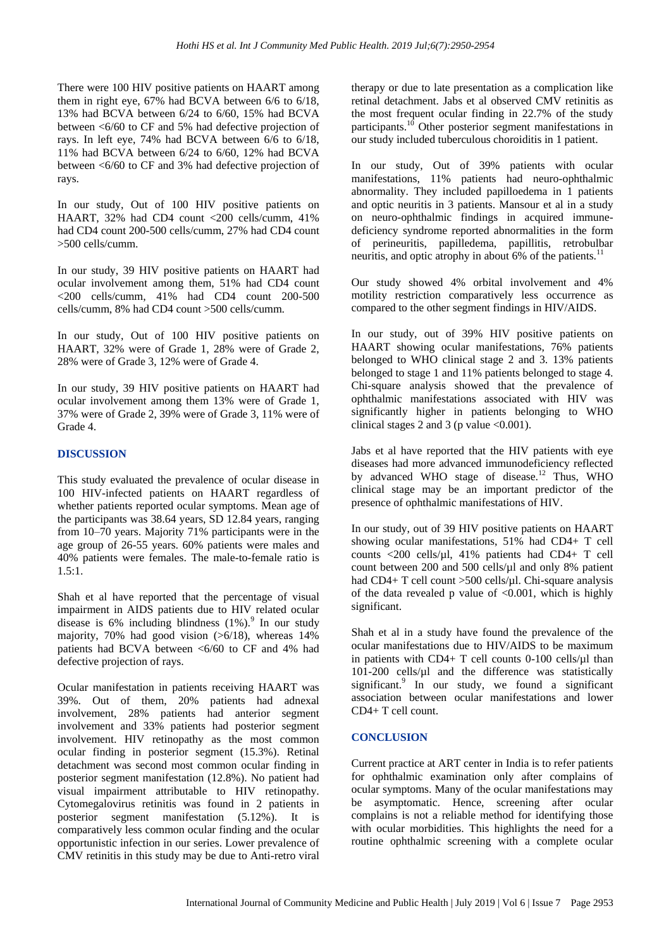There were 100 HIV positive patients on HAART among them in right eye, 67% had BCVA between 6/6 to 6/18, 13% had BCVA between 6/24 to 6/60, 15% had BCVA between <6/60 to CF and 5% had defective projection of rays. In left eye, 74% had BCVA between 6/6 to 6/18, 11% had BCVA between 6/24 to 6/60, 12% had BCVA between <6/60 to CF and 3% had defective projection of rays.

In our study, Out of 100 HIV positive patients on HAART, 32% had CD4 count <200 cells/cumm, 41% had CD4 count 200-500 cells/cumm, 27% had CD4 count >500 cells/cumm.

In our study, 39 HIV positive patients on HAART had ocular involvement among them, 51% had CD4 count  $\langle$  200 cells/cumm, 41% had CD4 count 200-500 cells/cumm, 8% had CD4 count >500 cells/cumm.

In our study, Out of 100 HIV positive patients on HAART, 32% were of Grade 1, 28% were of Grade 2, 28% were of Grade 3, 12% were of Grade 4.

In our study, 39 HIV positive patients on HAART had ocular involvement among them 13% were of Grade 1, 37% were of Grade 2, 39% were of Grade 3, 11% were of Grade 4.

## **DISCUSSION**

This study evaluated the prevalence of ocular disease in 100 HIV-infected patients on HAART regardless of whether patients reported ocular symptoms. Mean age of the participants was 38.64 years, SD 12.84 years, ranging from 10–70 years. Majority 71% participants were in the age group of 26-55 years. 60% patients were males and 40% patients were females. The male-to-female ratio is 1.5:1.

Shah et al have reported that the percentage of visual impairment in AIDS patients due to HIV related ocular disease is  $6\%$  including blindness  $(1\%)$ .<sup>9</sup> In our study majority, 70% had good vision  $(>6/18)$ , whereas 14% patients had BCVA between <6/60 to CF and 4% had defective projection of rays.

Ocular manifestation in patients receiving HAART was 39%. Out of them, 20% patients had adnexal involvement, 28% patients had anterior segment involvement and 33% patients had posterior segment involvement. HIV retinopathy as the most common ocular finding in posterior segment (15.3%). Retinal detachment was second most common ocular finding in posterior segment manifestation (12.8%). No patient had visual impairment attributable to HIV retinopathy. Cytomegalovirus retinitis was found in 2 patients in posterior segment manifestation (5.12%). It is comparatively less common ocular finding and the ocular opportunistic infection in our series. Lower prevalence of CMV retinitis in this study may be due to Anti-retro viral therapy or due to late presentation as a complication like retinal detachment. Jabs et al observed CMV retinitis as the most frequent ocular finding in 22.7% of the study participants.<sup>10</sup> Other posterior segment manifestations in our study included tuberculous choroiditis in 1 patient.

In our study, Out of 39% patients with ocular manifestations, 11% patients had neuro-ophthalmic abnormality. They included papilloedema in 1 patients and optic neuritis in 3 patients. Mansour et al in a study on neuro-ophthalmic findings in acquired immunedeficiency syndrome reported abnormalities in the form of perineuritis, papilledema, papillitis, retrobulbar neuritis, and optic atrophy in about 6% of the patients.<sup>11</sup>

Our study showed 4% orbital involvement and 4% motility restriction comparatively less occurrence as compared to the other segment findings in HIV/AIDS.

In our study, out of 39% HIV positive patients on HAART showing ocular manifestations, 76% patients belonged to WHO clinical stage 2 and 3. 13% patients belonged to stage 1 and 11% patients belonged to stage 4. Chi-square analysis showed that the prevalence of ophthalmic manifestations associated with HIV was significantly higher in patients belonging to WHO clinical stages 2 and 3 (p value  $\leq 0.001$ ).

Jabs et al have reported that the HIV patients with eye diseases had more advanced immunodeficiency reflected by advanced WHO stage of disease.<sup>12</sup> Thus, WHO clinical stage may be an important predictor of the presence of ophthalmic manifestations of HIV.

In our study, out of 39 HIV positive patients on HAART showing ocular manifestations, 51% had CD4+ T cell counts <200 cells/ $\mu$ l, 41% patients had CD4+ T cell count between 200 and 500 cells/µl and only 8% patient had CD4+ T cell count >500 cells/µl. Chi-square analysis of the data revealed p value of  $\langle 0.001$ , which is highly significant.

Shah et al in a study have found the prevalence of the ocular manifestations due to HIV/AIDS to be maximum in patients with  $CD4+T$  cell counts 0-100 cells/ $\mu$ l than 101-200 cells/µl and the difference was statistically significant.<sup>9</sup> In our study, we found a significant association between ocular manifestations and lower CD4+ T cell count.

#### **CONCLUSION**

Current practice at ART center in India is to refer patients for ophthalmic examination only after complains of ocular symptoms. Many of the ocular manifestations may be asymptomatic. Hence, screening after ocular complains is not a reliable method for identifying those with ocular morbidities. This highlights the need for a routine ophthalmic screening with a complete ocular